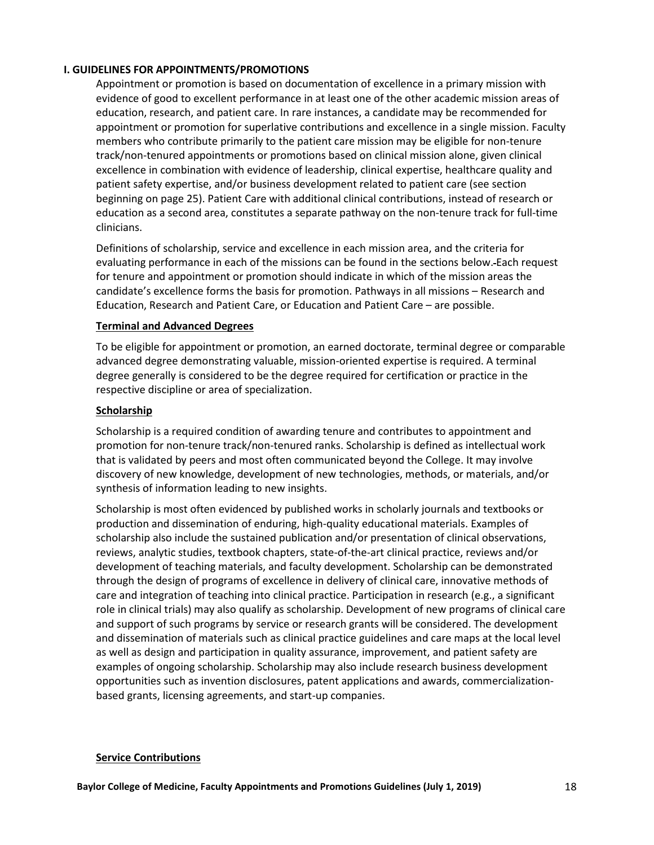## **I. GUIDELINES FOR APPOINTMENTS/PROMOTIONS**

Appointment or promotion is based on documentation of excellence in a primary mission with evidence of good to excellent performance in at least one of the other academic mission areas of education, research, and patient care. In rare instances, a candidate may be recommended for appointment or promotion for superlative contributions and excellence in a single mission. Faculty members who contribute primarily to the patient care mission may be eligible for non-tenure track/non-tenured appointments or promotions based on clinical mission alone, given clinical excellence in combination with evidence of leadership, clinical expertise, healthcare quality and patient safety expertise, and/or business development related to patient care (see section beginning on page 25). Patient Care with additional clinical contributions, instead of research or education as a second area, constitutes a separate pathway on the non-tenure track for full-time clinicians.

Definitions of scholarship, service and excellence in each mission area, and the criteria for evaluating performance in each of the missions can be found in the sections below. Each request for tenure and appointment or promotion should indicate in which of the mission areas the candidate's excellence forms the basis for promotion. Pathways in all missions – Research and Education, Research and Patient Care, or Education and Patient Care – are possible.

## **Terminal and Advanced Degrees**

To be eligible for appointment or promotion, an earned doctorate, terminal degree or comparable advanced degree demonstrating valuable, mission-oriented expertise is required. A terminal degree generally is considered to be the degree required for certification or practice in the respective discipline or area of specialization.

## **Scholarship**

Scholarship is a required condition of awarding tenure and contributes to appointment and promotion for non-tenure track/non-tenured ranks. Scholarship is defined as intellectual work that is validated by peers and most often communicated beyond the College. It may involve discovery of new knowledge, development of new technologies, methods, or materials, and/or synthesis of information leading to new insights.

Scholarship is most often evidenced by published works in scholarly journals and textbooks or production and dissemination of enduring, high-quality educational materials. Examples of scholarship also include the sustained publication and/or presentation of clinical observations, reviews, analytic studies, textbook chapters, state-of-the-art clinical practice, reviews and/or development of teaching materials, and faculty development. Scholarship can be demonstrated through the design of programs of excellence in delivery of clinical care, innovative methods of care and integration of teaching into clinical practice. Participation in research (e.g., a significant role in clinical trials) may also qualify as scholarship. Development of new programs of clinical care and support of such programs by service or research grants will be considered. The development and dissemination of materials such as clinical practice guidelines and care maps at the local level as well as design and participation in quality assurance, improvement, and patient safety are examples of ongoing scholarship. Scholarship may also include research business development opportunities such as invention disclosures, patent applications and awards, commercializationbased grants, licensing agreements, and start-up companies.

#### **Service Contributions**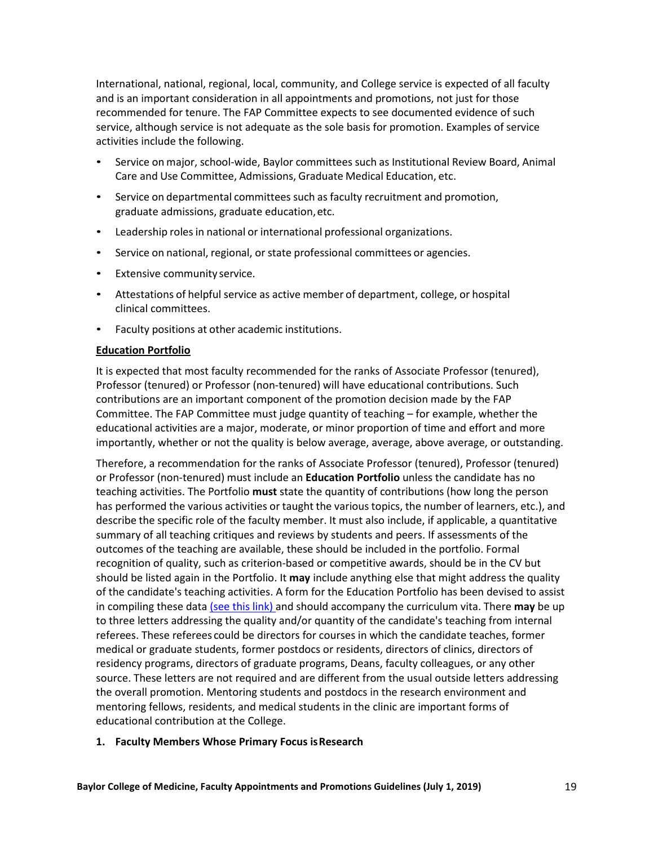International, national, regional, local, community, and College service is expected of all faculty and is an important consideration in all appointments and promotions, not just for those recommended for tenure. The FAP Committee expects to see documented evidence of such service, although service is not adequate as the sole basis for promotion. Examples of service activities include the following.

- Service on major, school-wide, Baylor committees such as Institutional Review Board, Animal Care and Use Committee, Admissions, Graduate Medical Education, etc.
- Service on departmental committees such as faculty recruitment and promotion, graduate admissions, graduate education,etc.
- Leadership roles in national or international professional organizations.
- Service on national, regional, or state professional committees or agencies.
- Extensive community service.
- Attestations of helpful service as active member of department, college, or hospital clinical committees.
- Faculty positions at other academic institutions.

#### **Education Portfolio**

It is expected that most faculty recommended for the ranks of Associate Professor (tenured), Professor (tenured) or Professor (non-tenured) will have educational contributions. Such contributions are an important component of the promotion decision made by the FAP Committee. The FAP Committee must judge quantity of teaching – for example, whether the educational activities are a major, moderate, or minor proportion of time and effort and more importantly, whether or not the quality is below average, average, above average, or outstanding.

Therefore, a recommendation for the ranks of Associate Professor (tenured), Professor (tenured) or Professor (non-tenured) must include an **Education Portfolio** unless the candidate has no teaching activities. The Portfolio **must** state the quantity of contributions (how long the person has performed the various activities or taught the various topics, the number of learners, etc.), and describe the specific role of the faculty member. It must also include, if applicable, a quantitative summary of all teaching critiques and reviews by students and peers. If assessments of the outcomes of the teaching are available, these should be included in the portfolio. Formal recognition of quality, such as criterion-based or competitive awards, should be in the CV but should be listed again in the Portfolio. It **may** include anything else that might address the quality of the candidate's teaching activities. A form for the Education Portfolio has been devised to assist in compiling these dat[a \(see this link\)](http://intranet.bcm.edu/?fuseaction=home.showpage&tmp=faculty_affairs/docs/educational_portfolio) and should accompany the curriculum vita. There **may** be up to three letters addressing the quality and/or quantity of the candidate's teaching from internal referees. These referees could be directors for courses in which the candidate teaches, former medical or graduate students, former postdocs or residents, directors of clinics, directors of residency programs, directors of graduate programs, Deans, faculty colleagues, or any other source. These letters are not required and are different from the usual outside letters addressing the overall promotion. Mentoring students and postdocs in the research environment and mentoring fellows, residents, and medical students in the clinic are important forms of educational contribution at the College.

#### **1. Faculty Members Whose Primary Focus isResearch**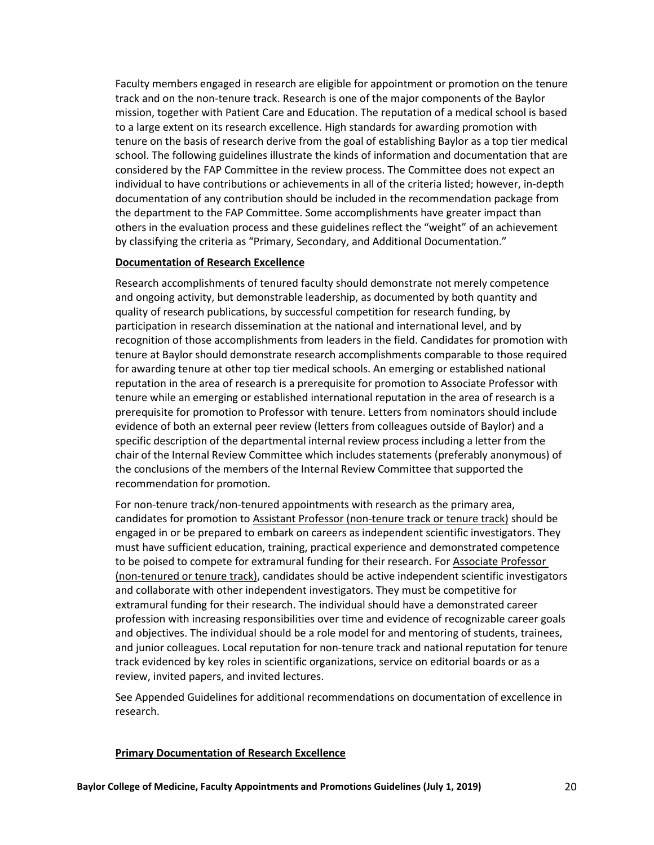Faculty members engaged in research are eligible for appointment or promotion on the tenure track and on the non-tenure track. Research is one of the major components of the Baylor mission, together with Patient Care and Education. The reputation of a medical school is based to a large extent on its research excellence. High standards for awarding promotion with tenure on the basis of research derive from the goal of establishing Baylor as a top tier medical school. The following guidelines illustrate the kinds of information and documentation that are considered by the FAP Committee in the review process. The Committee does not expect an individual to have contributions or achievements in all of the criteria listed; however, in-depth documentation of any contribution should be included in the recommendation package from the department to the FAP Committee. Some accomplishments have greater impact than others in the evaluation process and these guidelines reflect the "weight" of an achievement by classifying the criteria as "Primary, Secondary, and Additional Documentation."

#### **Documentation of Research Excellence**

Research accomplishments of tenured faculty should demonstrate not merely competence and ongoing activity, but demonstrable leadership, as documented by both quantity and quality of research publications, by successful competition for research funding, by participation in research dissemination at the national and international level, and by recognition of those accomplishments from leaders in the field. Candidates for promotion with tenure at Baylor should demonstrate research accomplishments comparable to those required for awarding tenure at other top tier medical schools. An emerging or established national reputation in the area of research is a prerequisite for promotion to Associate Professor with tenure while an emerging or established international reputation in the area of research is a prerequisite for promotion to Professor with tenure. Letters from nominators should include evidence of both an external peer review (letters from colleagues outside of Baylor) and a specific description of the departmental internal review process including a letter from the chair of the Internal Review Committee which includes statements (preferably anonymous) of the conclusions of the members of the Internal Review Committee that supported the recommendation for promotion.

For non-tenure track/non-tenured appointments with research as the primary area, candidates for promotion to Assistant Professor (non-tenure track or tenure track) should be engaged in or be prepared to embark on careers as independent scientific investigators. They must have sufficient education, training, practical experience and demonstrated competence to be poised to compete for extramural funding for their research. For Associate Professor (non-tenured or tenure track), candidates should be active independent scientific investigators and collaborate with other independent investigators. They must be competitive for extramural funding for their research. The individual should have a demonstrated career profession with increasing responsibilities over time and evidence of recognizable career goals and objectives. The individual should be a role model for and mentoring of students, trainees, and junior colleagues. Local reputation for non-tenure track and national reputation for tenure track evidenced by key roles in scientific organizations, service on editorial boards or as a review, invited papers, and invited lectures.

See Appended Guidelines for additional recommendations on documentation of excellence in research.

#### **Primary Documentation of Research Excellence**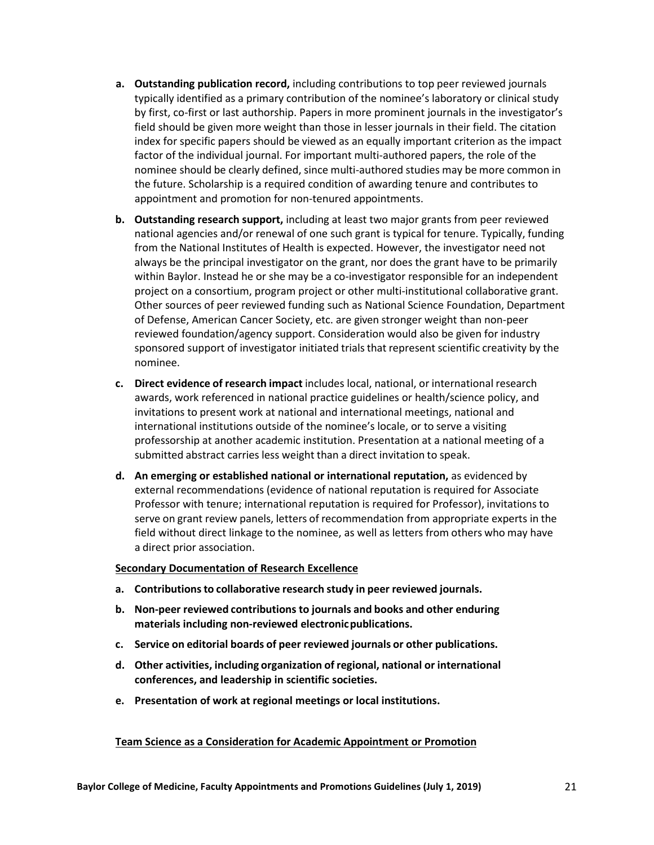- **a. Outstanding publication record,** including contributions to top peer reviewed journals typically identified as a primary contribution of the nominee's laboratory or clinical study by first, co-first or last authorship. Papers in more prominent journals in the investigator's field should be given more weight than those in lesser journals in their field. The citation index for specific papers should be viewed as an equally important criterion as the impact factor of the individual journal. For important multi-authored papers, the role of the nominee should be clearly defined, since multi-authored studies may be more common in the future. Scholarship is a required condition of awarding tenure and contributes to appointment and promotion for non-tenured appointments.
- **b. Outstanding research support,** including at least two major grants from peer reviewed national agencies and/or renewal of one such grant is typical for tenure. Typically, funding from the National Institutes of Health is expected. However, the investigator need not always be the principal investigator on the grant, nor does the grant have to be primarily within Baylor. Instead he or she may be a co-investigator responsible for an independent project on a consortium, program project or other multi-institutional collaborative grant. Other sources of peer reviewed funding such as National Science Foundation, Department of Defense, American Cancer Society, etc. are given stronger weight than non-peer reviewed foundation/agency support. Consideration would also be given for industry sponsored support of investigator initiated trials that represent scientific creativity by the nominee.
- **c. Direct evidence of research impact** includes local, national, or international research awards, work referenced in national practice guidelines or health/science policy, and invitations to present work at national and international meetings, national and international institutions outside of the nominee's locale, or to serve a visiting professorship at another academic institution. Presentation at a national meeting of a submitted abstract carries less weight than a direct invitation to speak.
- **d. An emerging or established national or international reputation,** as evidenced by external recommendations (evidence of national reputation is required for Associate Professor with tenure; international reputation is required for Professor), invitations to serve on grant review panels, letters of recommendation from appropriate experts in the field without direct linkage to the nominee, as well as letters from others who may have a direct prior association.

#### **Secondary Documentation of Research Excellence**

- **a. Contributionsto collaborative research study in peer reviewed journals.**
- **b. Non-peer reviewed contributions to journals and books and other enduring materials including non-reviewed electronicpublications.**
- **c. Service on editorial boards of peer reviewed journals or other publications.**
- **d. Other activities, including organization of regional, national or international conferences, and leadership in scientific societies.**
- **e. Presentation of work at regional meetings or local institutions.**

## **Team Science as a Consideration for Academic Appointment or Promotion**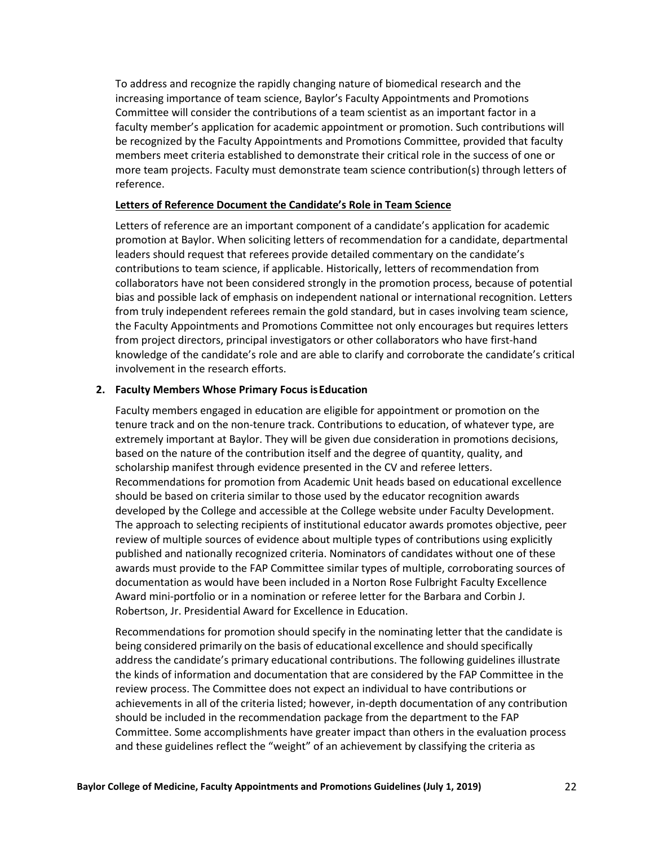To address and recognize the rapidly changing nature of biomedical research and the increasing importance of team science, Baylor's Faculty Appointments and Promotions Committee will consider the contributions of a team scientist as an important factor in a faculty member's application for academic appointment or promotion. Such contributions will be recognized by the Faculty Appointments and Promotions Committee, provided that faculty members meet criteria established to demonstrate their critical role in the success of one or more team projects. Faculty must demonstrate team science contribution(s) through letters of reference.

### **Letters of Reference Document the Candidate's Role in Team Science**

Letters of reference are an important component of a candidate's application for academic promotion at Baylor. When soliciting letters of recommendation for a candidate, departmental leaders should request that referees provide detailed commentary on the candidate's contributions to team science, if applicable. Historically, letters of recommendation from collaborators have not been considered strongly in the promotion process, because of potential bias and possible lack of emphasis on independent national or international recognition. Letters from truly independent referees remain the gold standard, but in cases involving team science, the Faculty Appointments and Promotions Committee not only encourages but requires letters from project directors, principal investigators or other collaborators who have first-hand knowledge of the candidate's role and are able to clarify and corroborate the candidate's critical involvement in the research efforts.

## **2. Faculty Members Whose Primary Focus isEducation**

Faculty members engaged in education are eligible for appointment or promotion on the tenure track and on the non-tenure track. Contributions to education, of whatever type, are extremely important at Baylor. They will be given due consideration in promotions decisions, based on the nature of the contribution itself and the degree of quantity, quality, and scholarship manifest through evidence presented in the CV and referee letters. Recommendations for promotion from Academic Unit heads based on educational excellence should be based on criteria similar to those used by the educator recognition awards developed by the College and accessible at the College website under Faculty Development. The approach to selecting recipients of institutional educator awards promotes objective, peer review of multiple sources of evidence about multiple types of contributions using explicitly published and nationally recognized criteria. Nominators of candidates without one of these awards must provide to the FAP Committee similar types of multiple, corroborating sources of documentation as would have been included in a Norton Rose Fulbright Faculty Excellence Award mini-portfolio or in a nomination or referee letter for the Barbara and Corbin J. Robertson, Jr. Presidential Award for Excellence in Education.

Recommendations for promotion should specify in the nominating letter that the candidate is being considered primarily on the basis of educational excellence and should specifically address the candidate's primary educational contributions. The following guidelines illustrate the kinds of information and documentation that are considered by the FAP Committee in the review process. The Committee does not expect an individual to have contributions or achievements in all of the criteria listed; however, in-depth documentation of any contribution should be included in the recommendation package from the department to the FAP Committee. Some accomplishments have greater impact than others in the evaluation process and these guidelines reflect the "weight" of an achievement by classifying the criteria as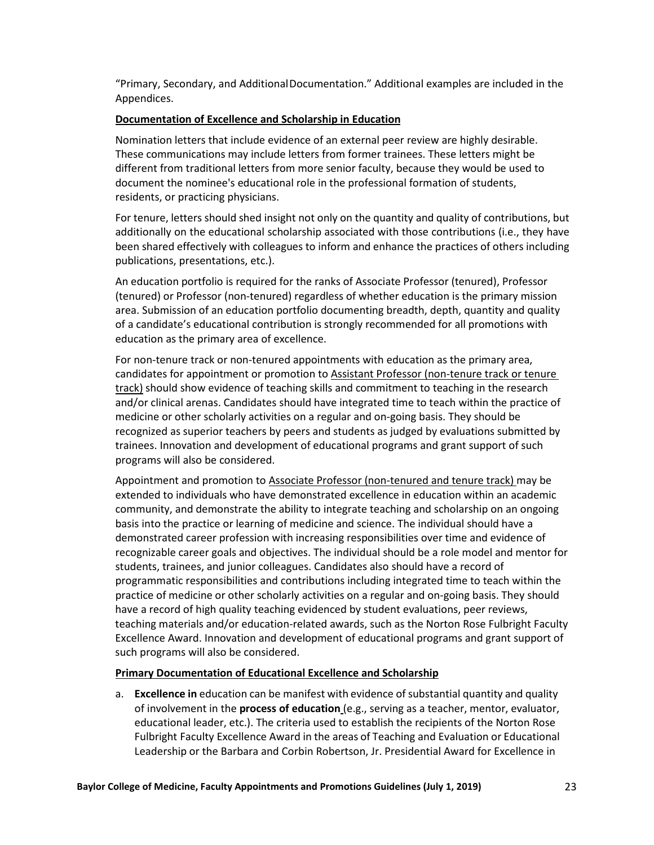"Primary, Secondary, and AdditionalDocumentation." Additional examples are included in the Appendices.

#### **Documentation of Excellence and Scholarship in Education**

Nomination letters that include evidence of an external peer review are highly desirable. These communications may include letters from former trainees. These letters might be different from traditional letters from more senior faculty, because they would be used to document the nominee's educational role in the professional formation of students, residents, or practicing physicians.

For tenure, letters should shed insight not only on the quantity and quality of contributions, but additionally on the educational scholarship associated with those contributions (i.e., they have been shared effectively with colleagues to inform and enhance the practices of others including publications, presentations, etc.).

An education portfolio is required for the ranks of Associate Professor (tenured), Professor (tenured) or Professor (non-tenured) regardless of whether education is the primary mission area. Submission of an education portfolio documenting breadth, depth, quantity and quality of a candidate's educational contribution is strongly recommended for all promotions with education as the primary area of excellence.

For non-tenure track or non-tenured appointments with education as the primary area, candidates for appointment or promotion to Assistant Professor (non-tenure track or tenure track) should show evidence of teaching skills and commitment to teaching in the research and/or clinical arenas. Candidates should have integrated time to teach within the practice of medicine or other scholarly activities on a regular and on-going basis. They should be recognized as superior teachers by peers and students as judged by evaluations submitted by trainees. Innovation and development of educational programs and grant support of such programs will also be considered.

Appointment and promotion to Associate Professor (non-tenured and tenure track) may be extended to individuals who have demonstrated excellence in education within an academic community, and demonstrate the ability to integrate teaching and scholarship on an ongoing basis into the practice or learning of medicine and science. The individual should have a demonstrated career profession with increasing responsibilities over time and evidence of recognizable career goals and objectives. The individual should be a role model and mentor for students, trainees, and junior colleagues. Candidates also should have a record of programmatic responsibilities and contributions including integrated time to teach within the practice of medicine or other scholarly activities on a regular and on-going basis. They should have a record of high quality teaching evidenced by student evaluations, peer reviews, teaching materials and/or education-related awards, such as the Norton Rose Fulbright Faculty Excellence Award. Innovation and development of educational programs and grant support of such programs will also be considered.

#### **Primary Documentation of Educational Excellence and Scholarship**

a. **Excellence in** education can be manifest with evidence ofsubstantial quantity and quality of involvement in the **process of education** (e.g., serving as a teacher, mentor, evaluator, educational leader, etc.). The criteria used to establish the recipients of the Norton Rose Fulbright Faculty Excellence Award in the areas of Teaching and Evaluation or Educational Leadership or the Barbara and Corbin Robertson, Jr. Presidential Award for Excellence in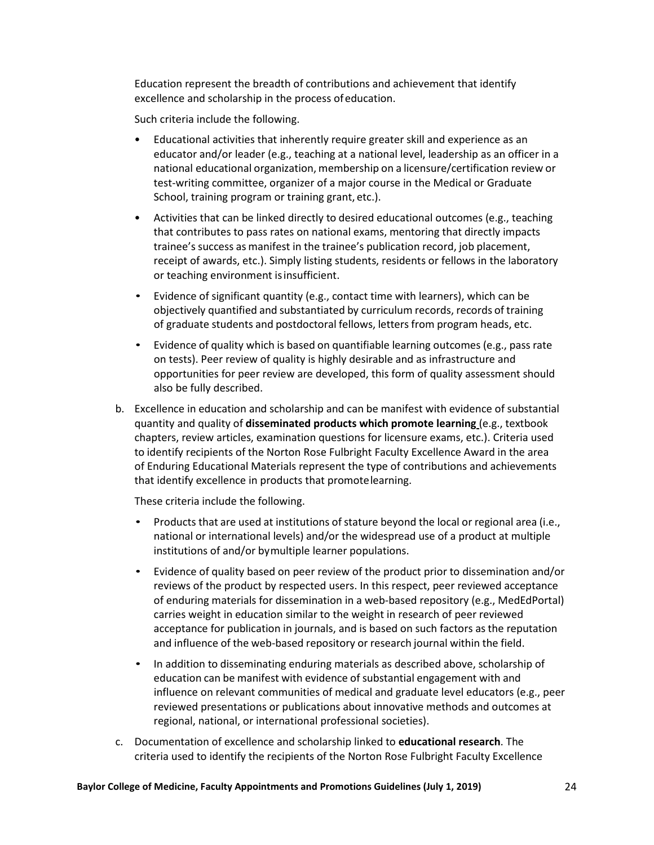Education represent the breadth of contributions and achievement that identify excellence and scholarship in the process ofeducation.

Such criteria include the following.

- Educational activities that inherently require greater skill and experience as an educator and/or leader (e.g., teaching at a national level, leadership as an officer in a national educational organization, membership on a licensure/certification review or test-writing committee, organizer of a major course in the Medical or Graduate School, training program or training grant, etc.).
- Activities that can be linked directly to desired educational outcomes (e.g., teaching that contributes to pass rates on national exams, mentoring that directly impacts trainee's success as manifest in the trainee's publication record, job placement, receipt of awards, etc.). Simply listing students, residents or fellows in the laboratory or teaching environment isinsufficient.
- Evidence of significant quantity (e.g., contact time with learners), which can be objectively quantified and substantiated by curriculum records, records of training of graduate students and postdoctoral fellows, letters from program heads, etc.
- Evidence of quality which is based on quantifiable learning outcomes (e.g., pass rate on tests). Peer review of quality is highly desirable and as infrastructure and opportunities for peer review are developed, this form of quality assessment should also be fully described.
- b. Excellence in education and scholarship and can be manifest with evidence of substantial quantity and quality of **disseminated products which promote learning** (e.g., textbook chapters, review articles, examination questions for licensure exams, etc.). Criteria used to identify recipients of the Norton Rose Fulbright Faculty Excellence Award in the area of Enduring Educational Materials represent the type of contributions and achievements that identify excellence in products that promotelearning.

These criteria include the following.

- Products that are used at institutions of stature beyond the local or regional area (i.e., national or international levels) and/or the widespread use of a product at multiple institutions of and/or bymultiple learner populations.
- Evidence of quality based on peer review of the product prior to dissemination and/or reviews of the product by respected users. In this respect, peer reviewed acceptance of enduring materials for dissemination in a web-based repository (e.g., MedEdPortal) carries weight in education similar to the weight in research of peer reviewed acceptance for publication in journals, and is based on such factors as the reputation and influence of the web-based repository or research journal within the field.
- In addition to disseminating enduring materials as described above, scholarship of education can be manifest with evidence of substantial engagement with and influence on relevant communities of medical and graduate level educators (e.g., peer reviewed presentations or publications about innovative methods and outcomes at regional, national, or international professional societies).
- c. Documentation of excellence and scholarship linked to **educational research**. The criteria used to identify the recipients of the Norton Rose Fulbright Faculty Excellence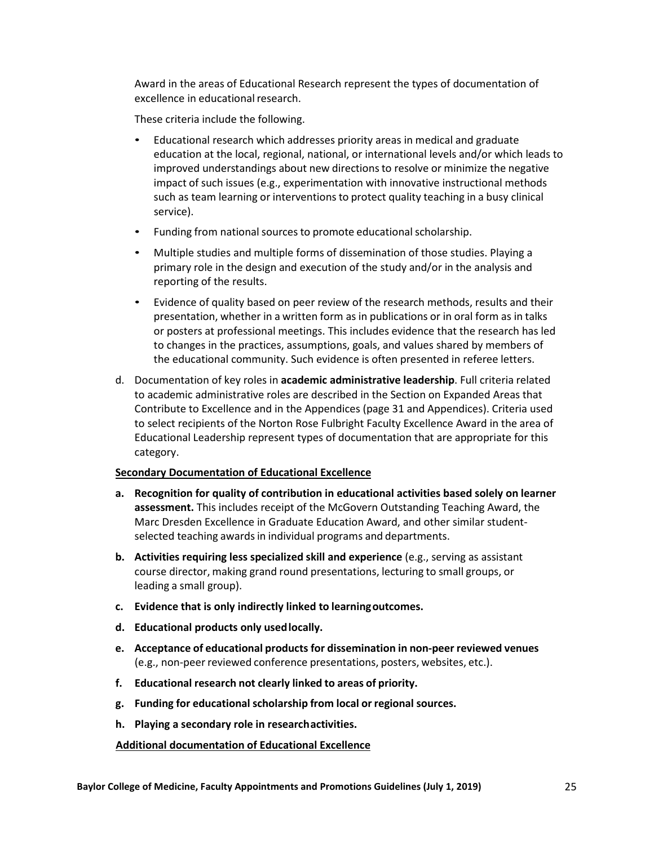Award in the areas of Educational Research represent the types of documentation of excellence in educational research.

These criteria include the following.

- Educational research which addresses priority areas in medical and graduate education at the local, regional, national, or international levels and/or which leads to improved understandings about new directionsto resolve or minimize the negative impact of such issues (e.g., experimentation with innovative instructional methods such as team learning or interventions to protect quality teaching in a busy clinical service).
- Funding from national sources to promote educational scholarship.
- Multiple studies and multiple forms of dissemination of those studies. Playing a primary role in the design and execution of the study and/or in the analysis and reporting of the results.
- Evidence of quality based on peer review of the research methods, results and their presentation, whether in a written form as in publications or in oral form as in talks or posters at professional meetings. This includes evidence that the research has led to changes in the practices, assumptions, goals, and values shared by members of the educational community. Such evidence is often presented in referee letters.
- d. Documentation of key roles in **academic administrative leadership**. Full criteria related to academic administrative roles are described in the Section on Expanded Areas that Contribute to Excellence and in the Appendices (page 31 and Appendices). Criteria used to select recipients of the Norton Rose Fulbright Faculty Excellence Award in the area of Educational Leadership represent types of documentation that are appropriate for this category.

## **Secondary Documentation of Educational Excellence**

- **a. Recognition for quality of contribution in educational activities based solely on learner assessment.** This includes receipt of the McGovern Outstanding Teaching Award, the Marc Dresden Excellence in Graduate Education Award, and other similar studentselected teaching awards in individual programs and departments.
- **b. Activities requiring less specialized skill and experience** (e.g., serving as assistant course director, making grand round presentations, lecturing to small groups, or leading a small group).
- **c. Evidence that is only indirectly linked to learningoutcomes.**
- **d. Educational products only usedlocally.**
- **e. Acceptance of educational products for dissemination in non-peer reviewed venues** (e.g., non-peer reviewed conference presentations, posters, websites, etc.).
- **f. Educational research not clearly linked to areas of priority.**
- **g. Funding for educationalscholarship from local or regional sources.**
- **h. Playing a secondary role in researchactivities.**

#### **Additional documentation of Educational Excellence**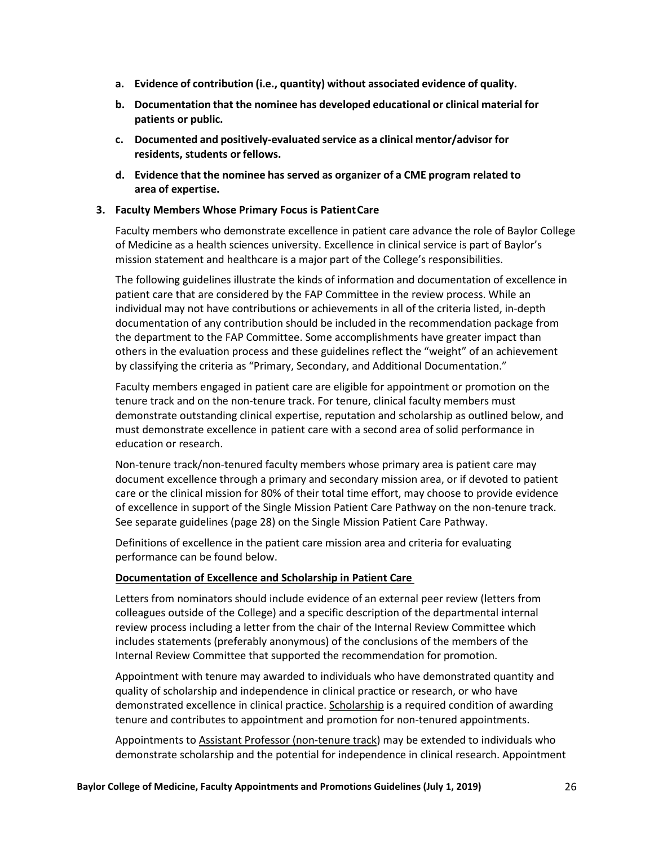- **a. Evidence of contribution (i.e., quantity) without associated evidence of quality.**
- **b. Documentation that the nominee has developed educational or clinical material for patients or public.**
- **c. Documented and positively-evaluated service as a clinical mentor/advisor for residents, students orfellows.**
- **d. Evidence that the nominee has served as organizer of a CME program related to area of expertise.**

### **3. Faculty Members Whose Primary Focus is PatientCare**

Faculty members who demonstrate excellence in patient care advance the role of Baylor College of Medicine as a health sciences university. Excellence in clinical service is part of Baylor's mission statement and healthcare is a major part of the College's responsibilities.

The following guidelines illustrate the kinds of information and documentation of excellence in patient care that are considered by the FAP Committee in the review process. While an individual may not have contributions or achievements in all of the criteria listed, in-depth documentation of any contribution should be included in the recommendation package from the department to the FAP Committee. Some accomplishments have greater impact than others in the evaluation process and these guidelines reflect the "weight" of an achievement by classifying the criteria as "Primary, Secondary, and Additional Documentation."

Faculty members engaged in patient care are eligible for appointment or promotion on the tenure track and on the non-tenure track. For tenure, clinical faculty members must demonstrate outstanding clinical expertise, reputation and scholarship as outlined below, and must demonstrate excellence in patient care with a second area of solid performance in education or research.

Non-tenure track/non-tenured faculty members whose primary area is patient care may document excellence through a primary and secondary mission area, or if devoted to patient care or the clinical mission for 80% of their total time effort, may choose to provide evidence of excellence in support of the Single Mission Patient Care Pathway on the non-tenure track. See separate guidelines (page 28) on the Single Mission Patient Care Pathway.

Definitions of excellence in the patient care mission area and criteria for evaluating performance can be found below.

## **Documentation of Excellence and Scholarship in Patient Care**

Letters from nominators should include evidence of an external peer review (letters from colleagues outside of the College) and a specific description of the departmental internal review process including a letter from the chair of the Internal Review Committee which includes statements (preferably anonymous) of the conclusions of the members of the Internal Review Committee that supported the recommendation for promotion.

Appointment with tenure may awarded to individuals who have demonstrated quantity and quality of scholarship and independence in clinical practice or research, or who have demonstrated excellence in clinical practice. Scholarship is a required condition of awarding tenure and contributes to appointment and promotion for non-tenured appointments.

Appointments to Assistant Professor (non-tenure track) may be extended to individuals who demonstrate scholarship and the potential for independence in clinical research. Appointment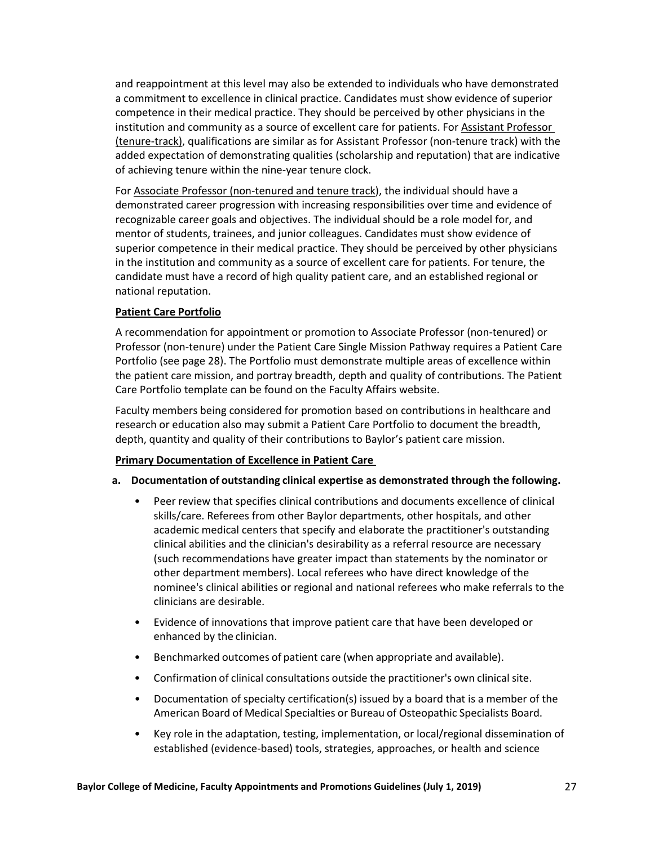and reappointment at this level may also be extended to individuals who have demonstrated a commitment to excellence in clinical practice. Candidates must show evidence of superior competence in their medical practice. They should be perceived by other physicians in the institution and community as a source of excellent care for patients. For Assistant Professor (tenure-track), qualifications are similar as for Assistant Professor (non-tenure track) with the added expectation of demonstrating qualities (scholarship and reputation) that are indicative of achieving tenure within the nine-year tenure clock.

For Associate Professor (non-tenured and tenure track), the individual should have a demonstrated career progression with increasing responsibilities over time and evidence of recognizable career goals and objectives. The individual should be a role model for, and mentor of students, trainees, and junior colleagues. Candidates must show evidence of superior competence in their medical practice. They should be perceived by other physicians in the institution and community as a source of excellent care for patients. For tenure, the candidate must have a record of high quality patient care, and an established regional or national reputation.

# **Patient Care Portfolio**

A recommendation for appointment or promotion to Associate Professor (non-tenured) or Professor (non-tenure) under the Patient Care Single Mission Pathway requires a Patient Care Portfolio (see page 28). The Portfolio must demonstrate multiple areas of excellence within the patient care mission, and portray breadth, depth and quality of contributions. The Patient Care Portfolio template can be found on the Faculty Affairs website.

Faculty members being considered for promotion based on contributions in healthcare and research or education also may submit a Patient Care Portfolio to document the breadth, depth, quantity and quality of their contributions to Baylor's patient care mission.

## **Primary Documentation of Excellence in Patient Care**

- **a. Documentation of outstanding clinical expertise as demonstrated through the following.** 
	- Peer review that specifies clinical contributions and documents excellence of clinical skills/care. Referees from other Baylor departments, other hospitals, and other academic medical centers that specify and elaborate the practitioner's outstanding clinical abilities and the clinician's desirability as a referral resource are necessary (such recommendations have greater impact than statements by the nominator or other department members). Local referees who have direct knowledge of the nominee's clinical abilities or regional and national referees who make referrals to the clinicians are desirable.
	- Evidence of innovations that improve patient care that have been developed or enhanced by the clinician.
	- Benchmarked outcomes of patient care (when appropriate and available).
	- Confirmation of clinical consultations outside the practitioner's own clinical site.
	- Documentation of specialty certification(s) issued by a board that is a member of the American Board of Medical Specialties or Bureau of Osteopathic Specialists Board.
	- Key role in the adaptation, testing, implementation, or local/regional dissemination of established (evidence-based) tools, strategies, approaches, or health and science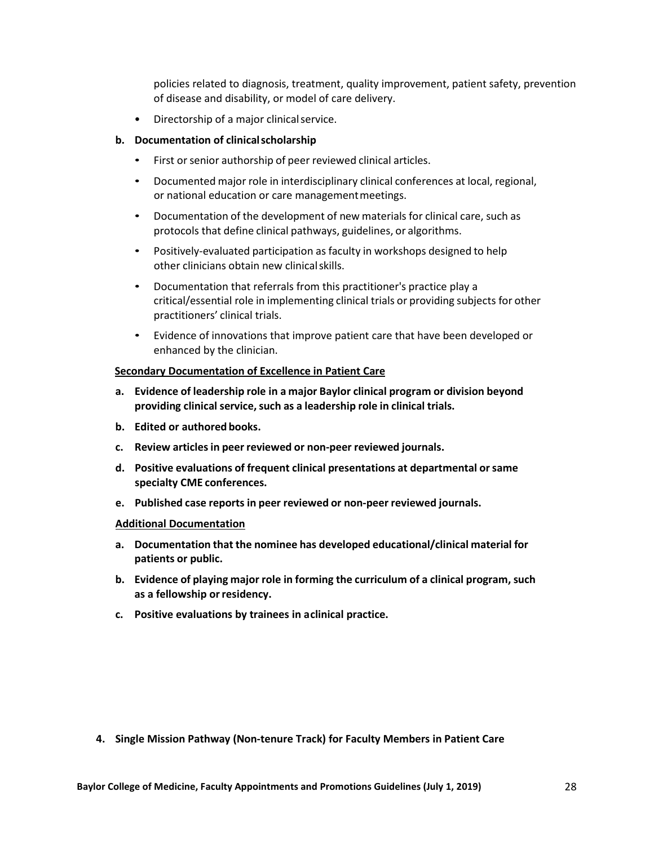policies related to diagnosis, treatment, quality improvement, patient safety, prevention of disease and disability, or model of care delivery.

• Directorship of a major clinicalservice.

## **b. Documentation of clinicalscholarship**

- First or senior authorship of peer reviewed clinical articles.
- Documented major role in interdisciplinary clinical conferences at local, regional, or national education or care managementmeetings.
- Documentation of the development of new materials for clinical care, such as protocols that define clinical pathways, guidelines, or algorithms.
- Positively-evaluated participation as faculty in workshops designed to help other clinicians obtain new clinicalskills.
- Documentation that referrals from this practitioner's practice play a critical/essential role in implementing clinical trials or providing subjects for other practitioners' clinical trials.
- Evidence of innovations that improve patient care that have been developed or enhanced by the clinician.

#### **Secondary Documentation of Excellence in Patient Care**

- **a. Evidence of leadership role in a major Baylor clinical program or division beyond providing clinical service,such as a leadership role in clinical trials.**
- **b. Edited or authored books.**
- **c. Review articlesin peer reviewed or non-peer reviewed journals.**
- **d. Positive evaluations of frequent clinical presentations at departmental orsame specialty CME conferences.**
- **e. Published case reports in peer reviewed or non-peer reviewed journals.**

#### **Additional Documentation**

- **a. Documentation that the nominee has developed educational/clinical material for patients or public.**
- **b. Evidence of playing major role in forming the curriculum of a clinical program, such as a fellowship orresidency.**
- **c. Positive evaluations by trainees in aclinical practice.**

**4. Single Mission Pathway (Non-tenure Track) for Faculty Members in Patient Care**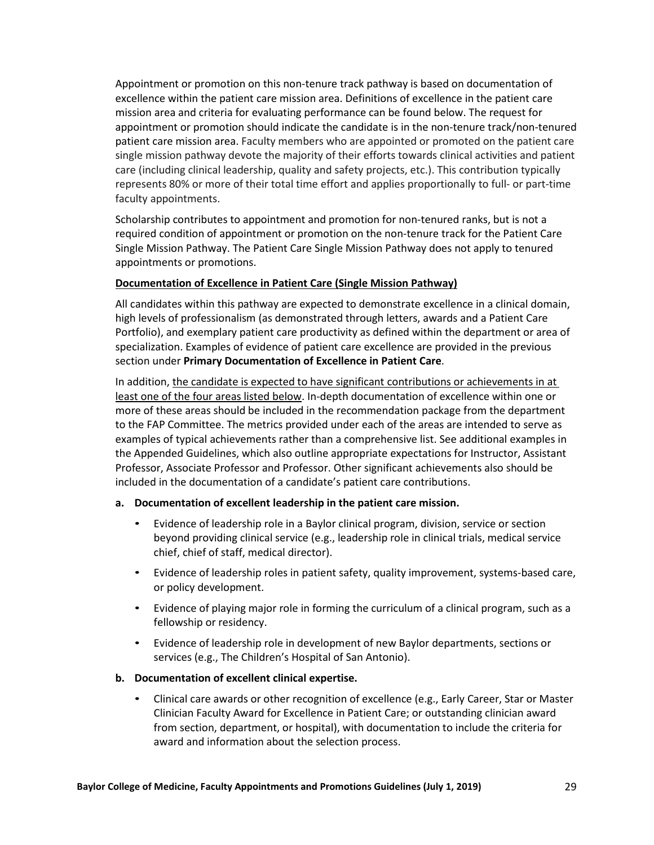Appointment or promotion on this non-tenure track pathway is based on documentation of excellence within the patient care mission area. Definitions of excellence in the patient care mission area and criteria for evaluating performance can be found below. The request for appointment or promotion should indicate the candidate is in the non-tenure track/non-tenured patient care mission area. Faculty members who are appointed or promoted on the patient care single mission pathway devote the majority of their efforts towards clinical activities and patient care (including clinical leadership, quality and safety projects, etc.). This contribution typically represents 80% or more of their total time effort and applies proportionally to full- or part-time faculty appointments.

Scholarship contributes to appointment and promotion for non-tenured ranks, but is not a required condition of appointment or promotion on the non-tenure track for the Patient Care Single Mission Pathway. The Patient Care Single Mission Pathway does not apply to tenured appointments or promotions.

## **Documentation of Excellence in Patient Care (Single Mission Pathway)**

All candidates within this pathway are expected to demonstrate excellence in a clinical domain, high levels of professionalism (as demonstrated through letters, awards and a Patient Care Portfolio), and exemplary patient care productivity as defined within the department or area of specialization. Examples of evidence of patient care excellence are provided in the previous section under **Primary Documentation of Excellence in Patient Care**.

In addition, the candidate is expected to have significant contributions or achievements in at least one of the four areas listed below. In-depth documentation of excellence within one or more of these areas should be included in the recommendation package from the department to the FAP Committee. The metrics provided under each of the areas are intended to serve as examples of typical achievements rather than a comprehensive list. See additional examples in the Appended Guidelines, which also outline appropriate expectations for Instructor, Assistant Professor, Associate Professor and Professor. Other significant achievements also should be included in the documentation of a candidate's patient care contributions.

#### **a. Documentation of excellent leadership in the patient care mission.**

- Evidence of leadership role in a Baylor clinical program, division, service or section beyond providing clinical service (e.g., leadership role in clinical trials, medical service chief, chief of staff, medical director).
- Evidence of leadership roles in patient safety, quality improvement, systems-based care, or policy development.
- Evidence of playing major role in forming the curriculum of a clinical program, such as a fellowship or residency.
- Evidence of leadership role in development of new Baylor departments, sections or services (e.g., The Children's Hospital of San Antonio).

## **b. Documentation of excellent clinical expertise.**

• Clinical care awards or other recognition of excellence (e.g., Early Career, Star or Master Clinician Faculty Award for Excellence in Patient Care; or outstanding clinician award from section, department, or hospital), with documentation to include the criteria for award and information about the selection process.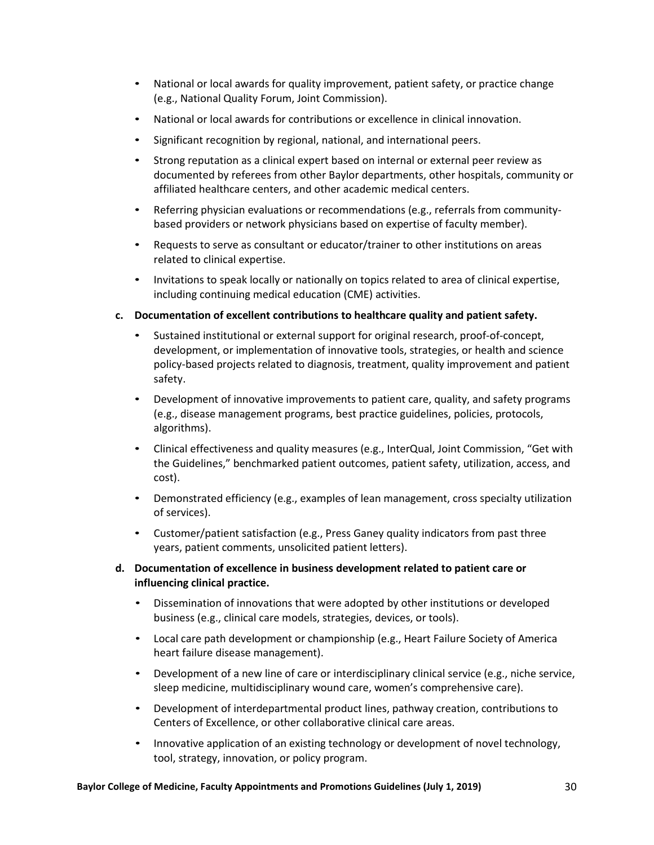- National or local awards for quality improvement, patient safety, or practice change (e.g., National Quality Forum, Joint Commission).
- National or local awards for contributions or excellence in clinical innovation.
- Significant recognition by regional, national, and international peers.
- Strong reputation as a clinical expert based on internal or external peer review as documented by referees from other Baylor departments, other hospitals, community or affiliated healthcare centers, and other academic medical centers.
- Referring physician evaluations or recommendations (e.g., referrals from communitybased providers or network physicians based on expertise of faculty member).
- Requests to serve as consultant or educator/trainer to other institutions on areas related to clinical expertise.
- Invitations to speak locally or nationally on topics related to area of clinical expertise, including continuing medical education (CME) activities.
- **c. Documentation of excellent contributions to healthcare quality and patient safety.**
	- Sustained institutional or external support for original research, proof-of-concept, development, or implementation of innovative tools, strategies, or health and science policy-based projects related to diagnosis, treatment, quality improvement and patient safety.
	- Development of innovative improvements to patient care, quality, and safety programs (e.g., disease management programs, best practice guidelines, policies, protocols, algorithms).
	- Clinical effectiveness and quality measures (e.g., InterQual, Joint Commission, "Get with the Guidelines," benchmarked patient outcomes, patient safety, utilization, access, and cost).
	- Demonstrated efficiency (e.g., examples of lean management, cross specialty utilization of services).
	- Customer/patient satisfaction (e.g., Press Ganey quality indicators from past three years, patient comments, unsolicited patient letters).
- **d. Documentation of excellence in business development related to patient care or influencing clinical practice.**
	- Dissemination of innovations that were adopted by other institutions or developed business (e.g., clinical care models, strategies, devices, or tools).
	- Local care path development or championship (e.g., Heart Failure Society of America heart failure disease management).
	- Development of a new line of care or interdisciplinary clinical service (e.g., niche service, sleep medicine, multidisciplinary wound care, women's comprehensive care).
	- Development of interdepartmental product lines, pathway creation, contributions to Centers of Excellence, or other collaborative clinical care areas.
	- Innovative application of an existing technology or development of novel technology, tool, strategy, innovation, or policy program.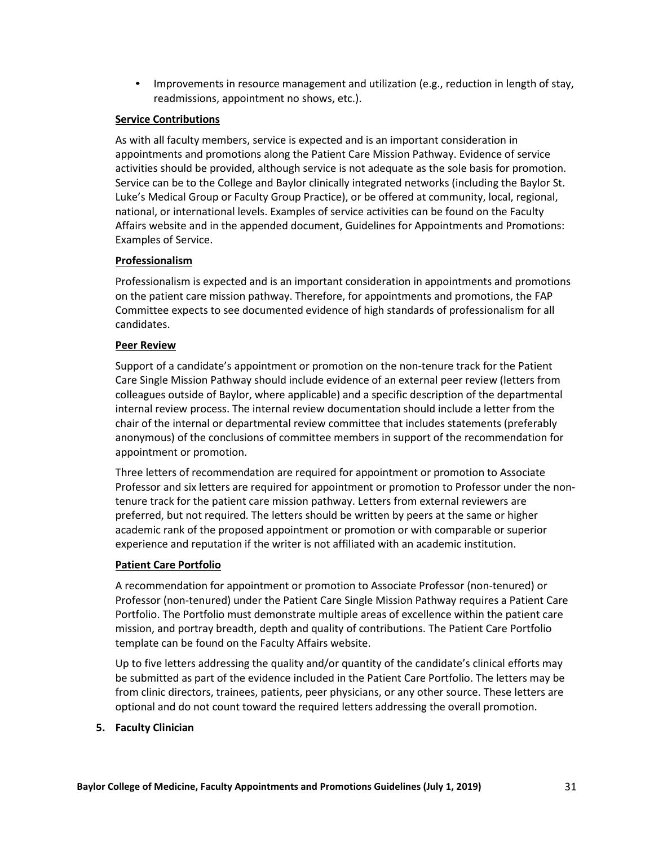• Improvements in resource management and utilization (e.g., reduction in length of stay, readmissions, appointment no shows, etc.).

## **Service Contributions**

As with all faculty members, service is expected and is an important consideration in appointments and promotions along the Patient Care Mission Pathway. Evidence of service activities should be provided, although service is not adequate as the sole basis for promotion. Service can be to the College and Baylor clinically integrated networks (including the Baylor St. Luke's Medical Group or Faculty Group Practice), or be offered at community, local, regional, national, or international levels. Examples of service activities can be found on the Faculty Affairs website and in the appended document, Guidelines for Appointments and Promotions: Examples of Service.

## **Professionalism**

Professionalism is expected and is an important consideration in appointments and promotions on the patient care mission pathway. Therefore, for appointments and promotions, the FAP Committee expects to see documented evidence of high standards of professionalism for all candidates.

## **Peer Review**

Support of a candidate's appointment or promotion on the non-tenure track for the Patient Care Single Mission Pathway should include evidence of an external peer review (letters from colleagues outside of Baylor, where applicable) and a specific description of the departmental internal review process. The internal review documentation should include a letter from the chair of the internal or departmental review committee that includes statements (preferably anonymous) of the conclusions of committee members in support of the recommendation for appointment or promotion.

Three letters of recommendation are required for appointment or promotion to Associate Professor and six letters are required for appointment or promotion to Professor under the nontenure track for the patient care mission pathway. Letters from external reviewers are preferred, but not required. The letters should be written by peers at the same or higher academic rank of the proposed appointment or promotion or with comparable or superior experience and reputation if the writer is not affiliated with an academic institution.

## **Patient Care Portfolio**

A recommendation for appointment or promotion to Associate Professor (non-tenured) or Professor (non-tenured) under the Patient Care Single Mission Pathway requires a Patient Care Portfolio. The Portfolio must demonstrate multiple areas of excellence within the patient care mission, and portray breadth, depth and quality of contributions. The Patient Care Portfolio template can be found on the Faculty Affairs website.

Up to five letters addressing the quality and/or quantity of the candidate's clinical efforts may be submitted as part of the evidence included in the Patient Care Portfolio. The letters may be from clinic directors, trainees, patients, peer physicians, or any other source. These letters are optional and do not count toward the required letters addressing the overall promotion.

#### **5. Faculty Clinician**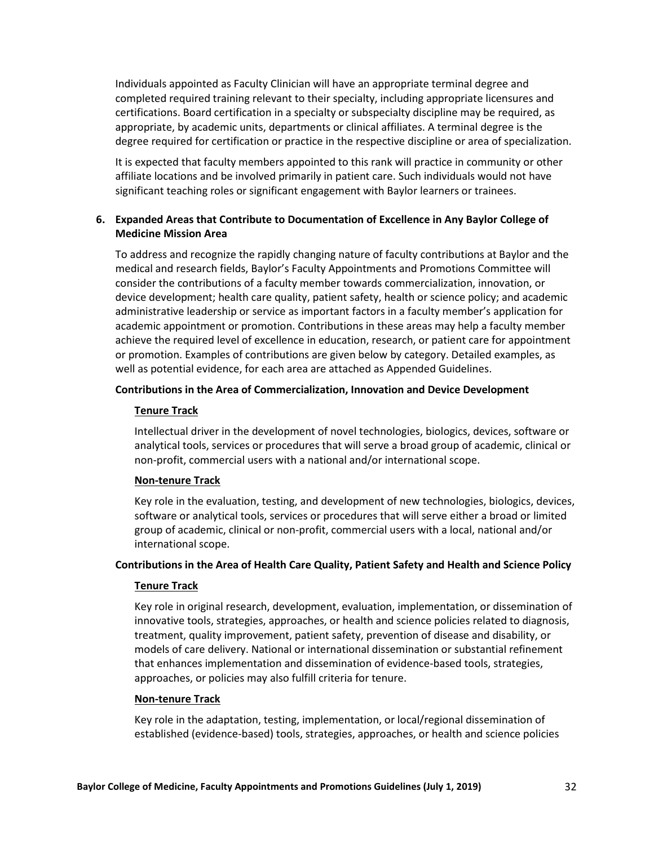Individuals appointed as Faculty Clinician will have an appropriate terminal degree and completed required training relevant to their specialty, including appropriate licensures and certifications. Board certification in a specialty or subspecialty discipline may be required, as appropriate, by academic units, departments or clinical affiliates. A terminal degree is the degree required for certification or practice in the respective discipline or area of specialization.

It is expected that faculty members appointed to this rank will practice in community or other affiliate locations and be involved primarily in patient care. Such individuals would not have significant teaching roles or significant engagement with Baylor learners or trainees.

## **6. Expanded Areas that Contribute to Documentation of Excellence in Any Baylor College of Medicine Mission Area**

To address and recognize the rapidly changing nature of faculty contributions at Baylor and the medical and research fields, Baylor's Faculty Appointments and Promotions Committee will consider the contributions of a faculty member towards commercialization, innovation, or device development; health care quality, patient safety, health or science policy; and academic administrative leadership or service as important factors in a faculty member's application for academic appointment or promotion. Contributions in these areas may help a faculty member achieve the required level of excellence in education, research, or patient care for appointment or promotion. Examples of contributions are given below by category. Detailed examples, as well as potential evidence, for each area are attached as Appended Guidelines.

#### **Contributions in the Area of Commercialization, Innovation and Device Development**

## **Tenure Track**

Intellectual driver in the development of novel technologies, biologics, devices, software or analytical tools, services or procedures that will serve a broad group of academic, clinical or non-profit, commercial users with a national and/or international scope.

#### **Non-tenure Track**

Key role in the evaluation, testing, and development of new technologies, biologics, devices, software or analytical tools, services or procedures that will serve either a broad or limited group of academic, clinical or non-profit, commercial users with a local, national and/or international scope.

#### **Contributions in the Area of Health Care Quality, Patient Safety and Health and Science Policy**

#### **Tenure Track**

Key role in original research, development, evaluation, implementation, or dissemination of innovative tools, strategies, approaches, or health and science policies related to diagnosis, treatment, quality improvement, patient safety, prevention of disease and disability, or models of care delivery. National or international dissemination or substantial refinement that enhances implementation and dissemination of evidence-based tools, strategies, approaches, or policies may also fulfill criteria for tenure.

#### **Non-tenure Track**

Key role in the adaptation, testing, implementation, or local/regional dissemination of established (evidence-based) tools, strategies, approaches, or health and science policies